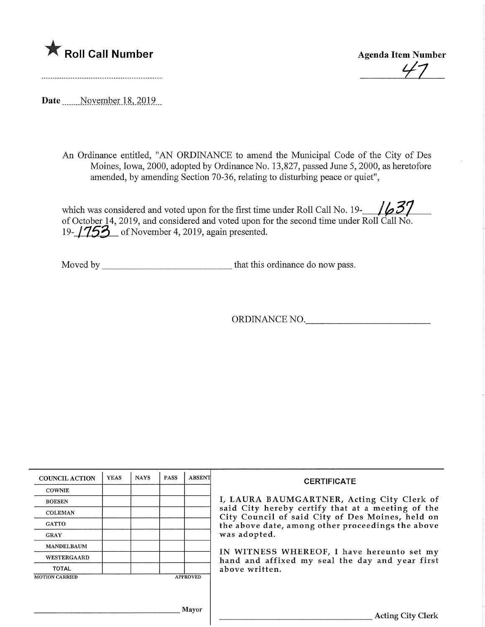

**Agenda Item Number** 

Date November 18, 2019

An Ordinance entitled, "AN ORDINANCE to amend the Municipal Code of the City of Des Moines, Iowa, 2000, adopted by Ordinance No. 13,827, passed June 5, 2000, as heretofore amended, by amending Section 70-36, relating to disturbing peace or quiet",

which was considered and voted upon for the first time under Roll Call No. 19- $\frac{1}{637}$ of October 14, 2019, and considered and voted upon for the second time under Roll Call No. 19- $\frac{1753}{ }$  of November 4, 2019, again presented.

Moved by that this ordinance do now pass.

ORDINANCE NO.

| <b>COUNCIL ACTION</b> | <b>YEAS</b> | <b>NAYS</b> | <b>PASS</b> | <b>ABSENT</b>   | <b>CERTIFICATE</b>                                                                                    |
|-----------------------|-------------|-------------|-------------|-----------------|-------------------------------------------------------------------------------------------------------|
| <b>COWNIE</b>         |             |             |             |                 |                                                                                                       |
| <b>BOESEN</b>         |             |             |             |                 | I, LAURA BAUMGARTNER, Acting City Clerk of                                                            |
| <b>COLEMAN</b>        |             |             |             |                 | said City hereby certify that at a meeting of the<br>City Council of said City of Des Moines, held on |
| <b>GATTO</b>          |             |             |             |                 | the above date, among other proceedings the above                                                     |
| <b>GRAY</b>           |             |             |             |                 | was adopted.                                                                                          |
| <b>MANDELBAUM</b>     |             |             |             |                 | IN WITNESS WHEREOF, I have hereunto set my                                                            |
| <b>WESTERGAARD</b>    |             |             |             |                 | hand and affixed my seal the day and year first                                                       |
| <b>TOTAL</b>          |             |             |             |                 | above written.                                                                                        |
| <b>MOTION CARRIED</b> |             |             |             | <b>APPROVED</b> |                                                                                                       |
|                       |             |             |             |                 |                                                                                                       |
|                       |             |             |             |                 |                                                                                                       |
|                       |             |             |             | Mayor           | <b>Acting City Clerk</b>                                                                              |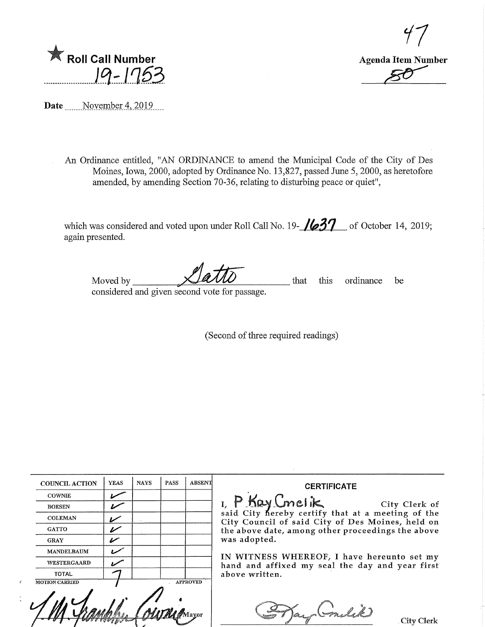

Roll Call Number 19-1753

Date Movember 4, 2019....

An Ordinance entitled, "AN ORDINANCE to amend the Municipal Code of the City of Des Moines, Iowa, 2000, adopted by Ordinance No. 13,827, passed June 5,2000, as heretofore amended, by amending Section 70-36, relating to disturbing peace or quiet",

which was considered and voted upon under Roll Call No. 19- $\mu37$  of October 14, 2019; again presented.

Moved by considered and given second vote for passage. that this ordinance be

(Second of three required readings)

| <b>COUNCIL ACTION</b> | <b>YEAS</b> | <b>NAYS</b> | <b>PASS</b> | <b>ABSENT</b>   | <b>CERTIFICATE</b>                                                                            |
|-----------------------|-------------|-------------|-------------|-----------------|-----------------------------------------------------------------------------------------------|
| <b>COWNIE</b>         |             |             |             |                 |                                                                                               |
| <b>BOESEN</b>         |             |             |             |                 | I, P Kay Cmelik City Clerk of<br>said City hereby certify that at a meeting of the            |
| <b>COLEMAN</b>        | ״           |             |             |                 | City Council of said City of Des Moines, held on                                              |
| <b>GATTO</b>          | سما         |             |             |                 | the above date, among other proceedings the above                                             |
| <b>GRAY</b>           | "           |             |             |                 | was adopted.                                                                                  |
| <b>MANDELBAUM</b>     |             |             |             |                 |                                                                                               |
| WESTERGAARD           |             |             |             |                 | IN WITNESS WHEREOF, I have hereunto set my<br>hand and affixed my seal the day and year first |
| <b>TOTAL</b>          |             |             |             |                 | above written.                                                                                |
| <b>MOTION CARRIED</b> |             |             |             | <b>APPROVED</b> | City Clerk                                                                                    |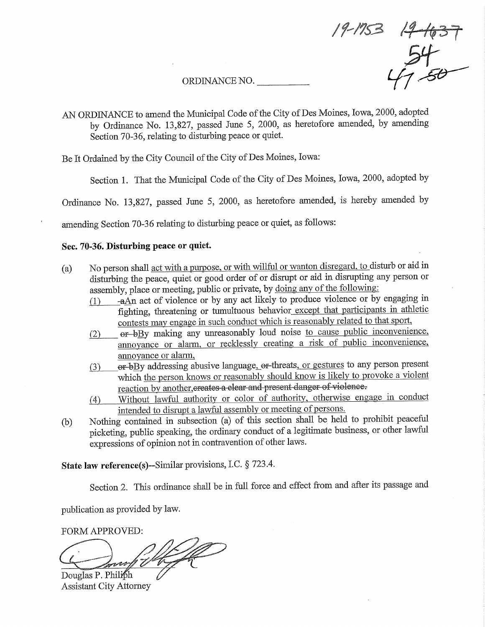ORDINANCE NO.  $47.50$ 

AN ORDINANCE to amend the Municipal Code of the City of Des Moines, Iowa, 2000, adopted by Ordinance No. 13,827, passed June 5, 2000, as heretofore amended, by amending Section 70-36, relating to disturbing peace or quiet.

 $2-1637$ 

Be It Ordained by the City Council of the City of Des Moines, Iowa:

Section 1. That the Municipal Code of the City of Des Moines, Iowa, 2000, adopted by

Ordinance No. 13,827, passed June 5, 2000, as heretofore amended, is hereby amended by

amending Section 70-36 relating to disturbing peace or quiet, as follows:

## Sec. 70-36. Disturbing peace or quiet.

- (a) No person shall act with a purpose, or with willful or wanton disregard, to disturb or aid in disturbing the peace, quiet or good order of or disrupt or aid in disrupting any person or assembly, place or meeting, public or private, by doing any of the following:
	- $d$ )  $-a$ An act of violence or by any act likely to produce violence or by engaging in. fighting, threatening or tumultuous behavior except that participants in athletic contests may engage in such conduct which is reasonably related to that sport,
	- er-bBy making any unreasonably loud noise to cause public inconvenience,  $(2)$ annoyance or alarm, or recklessly creating a risk of public inconvenience, amioyance or alarm,
	- er-bBy addressing abusive language, er-threats, or gestures to any person present  $(3)$ which the person knows or reasonably should know is likely to provoke a violent reaction by another, creates a clear and present danger of violence.
	- (4) Without lawful authority or color of authority, otherwise engage in conduct intended to disrupt a lawful assembly or meeting of persons.
- (b) Nothing contained in subsection (a) of this section shall be held to prohibit peaceful picketing, public speaking, the ordinary conduct of a legitimate business, or other lawful expressions of opinion not in contravention of other laws.

State law reference(s)—Similar provisions, I.C. § 723.4.

Section 2. This ordinance shall be in full force and effect from and after its passage and

publication as provided by law.

FORM APPROVED:

V

Douglas P. Philiph Assistant City Attorney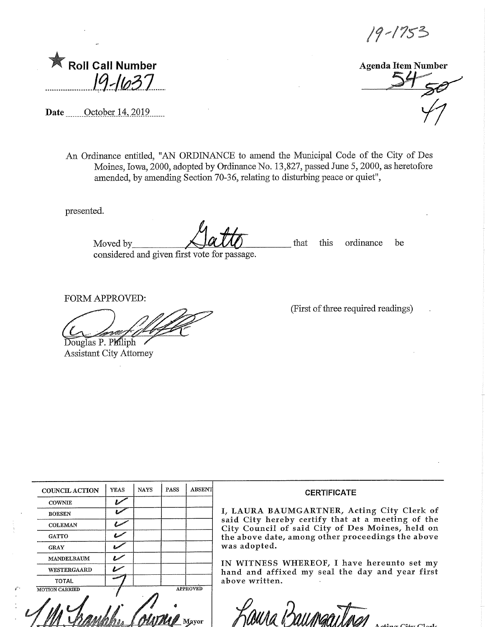19-1753

|  | <b>Roll Call Number</b> |  |
|--|-------------------------|--|
|  | 19-1637                 |  |

Date .......\_Qctober 14,2019,

Agenda Item Number  $\frac{34}{50}$ 

An Ordinance entitled, "AN ORDINANCE to amend the Municipal Code of the City of Des Moines, Iowa, 2000, adopted by Ordmance No. 13,827, passed June 5,2000, as heretofore amended, by amending Section 70-36, relating to disturbing peace or quiet",

presented.

Moved by\_ considered and given first vote for passage. that this ordinance be

FORM APPROVED:

Douglas P. Philiph Assistant City Attorney (First of three required readings)

|                       | <b>YEAS</b> | <b>NAYS</b> | PASS            | <b>ABSENT</b> |  |  |
|-----------------------|-------------|-------------|-----------------|---------------|--|--|
| <b>COUNCIL ACTION</b> |             |             |                 |               |  |  |
| <b>COWNIE</b>         |             |             |                 |               |  |  |
| <b>BOESEN</b>         |             |             |                 |               |  |  |
| <b>COLEMAN</b>        |             |             |                 |               |  |  |
| <b>GATTO</b>          |             |             |                 |               |  |  |
| <b>GRAY</b>           |             |             |                 |               |  |  |
| <b>MANDELBAUM</b>     |             |             |                 |               |  |  |
| WESTERGAARD           |             |             |                 |               |  |  |
| <b>TOTAL</b>          |             |             |                 |               |  |  |
| <b>MOTION CARRIED</b> |             |             | <b>APPROVED</b> |               |  |  |
|                       |             |             |                 |               |  |  |
| Mavor                 |             |             |                 |               |  |  |

## **CERTIFICATE**

I, LAURA BAUMGARTNER, Acting City Clerk of said City hereby certify that at a meeting of the City Council of said City of Des Moines/ held on the above date, among other proceedings the above was adopted.

IN WITNESS WHEREOF, I have hereunto set my hand and affixed my seal the day and year first above written.

y<br>paura iz